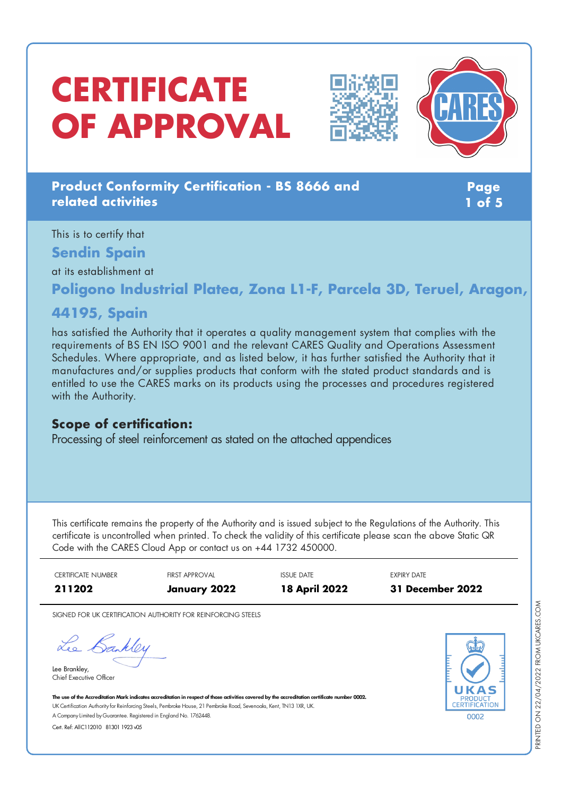# **CERTIFICATE OF APPROVAL**





## **Product Conformity Certification - BS 8666 and related activities**

**Page 1 of 5**

This is to certify that **Sendin Spain**

at its establishment at

**Poligono Industrial Platea, Zona L1-F, Parcela 3D, Teruel, Aragon,**

# **44195, Spain**

has satisfied the Authority that it operates a quality management system that complies with the requirements of BS EN ISO 9001 and the relevant CARES Quality and Operations Assessment Schedules. Where appropriate, and as listed below, it has further satisfied the Authority that it manufactures and/or supplies products that conform with the stated product standards and is entitled to use the CARES marks on its products using the processes and procedures registered with the Authority.

## **Scope of certification:**

Processing of steel reinforcement as stated on the attached appendices

This certificate remains the property of the Authority and is issued subject to the Regulations of the Authority. This certificate is uncontrolled when printed. To check the validity of this certificate please scan the above Static QR Code with the CARES Cloud App or contact us on +44 1732 450000.

| <b>CERTIFICATE NUMBER</b> | <b>FIRST APPROVAL</b> | <b>ISSUE DATE</b>    | EXPIRY DATE      |
|---------------------------|-----------------------|----------------------|------------------|
| 211202                    | January 2022          | <b>18 April 2022</b> | 31 December 2022 |

SIGNED FOR UK CERTIFICATION AUTHORITY FOR REINFORCING STEELS

Lee Bankley

Lee Brankley, Chief Executive Officer 0002

The use of the Accreditation Mark indicates accreditation in respect of those activities covered by the accreditation certificate number 0002. UK Certification Authority for Reinforcing Steels, Pembroke House, 21 Pembroke Road, Sevenoaks, Kent, TN13 1XR, UK. A CompanyLimited byGuarantee. Registered in England No. 1762448.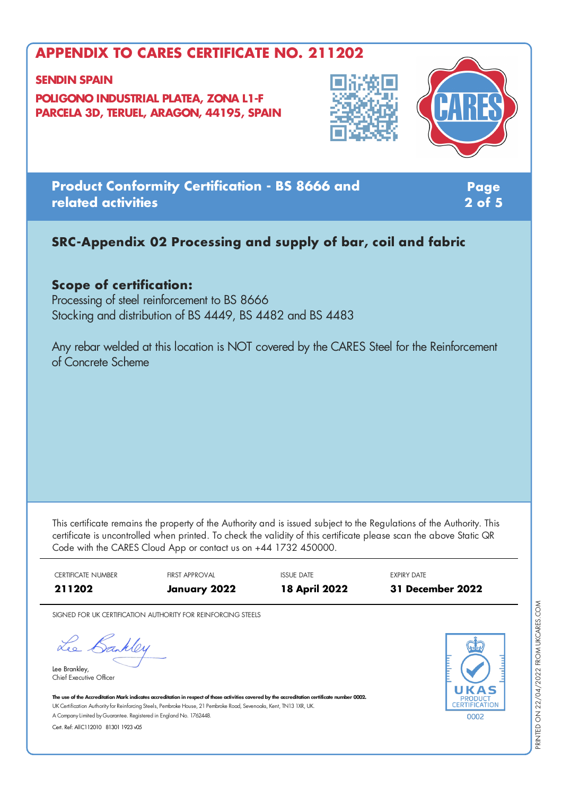#### **SENDIN SPAIN**

**POLIGONO INDUSTRIAL PLATEA, ZONA L1-F PARCELA 3D, TERUEL, ARAGON, 44195, SPAIN**





**Product Conformity Certification - BS 8666 and related activities**

**Page 2 of 5**

# **SRC-Appendix 02 Processing and supply of bar, coil and fabric**

## **Scope of certification:**

Processing of steel reinforcement to BS 8666 Stocking and distribution of BS 4449, BS 4482 and BS 4483

Any rebar welded at this location is NOT covered by the CARES Steel for the Reinforcement of Concrete Scheme

This certificate remains the property of the Authority and is issued subject to the Regulations of the Authority. This certificate is uncontrolled when printed. To check the validity of this certificate please scan the above Static QR Code with the CARES Cloud App or contact us on +44 1732 450000.



SIGNED FOR UK CERTIFICATION AUTHORITY FOR REINFORCING STEELS

Lee Bankley

Lee Brankley, Chief Executive Officer 0002

The use of the Accreditation Mark indicates accreditation in respect of those activities covered by the accreditation certificate number 0002. UK Certification Authority for Reinforcing Steels, Pembroke House, 21 Pembroke Road, Sevenoaks, Kent, TN13 1XR, UK. A CompanyLimited byGuarantee. Registered in England No. 1762448.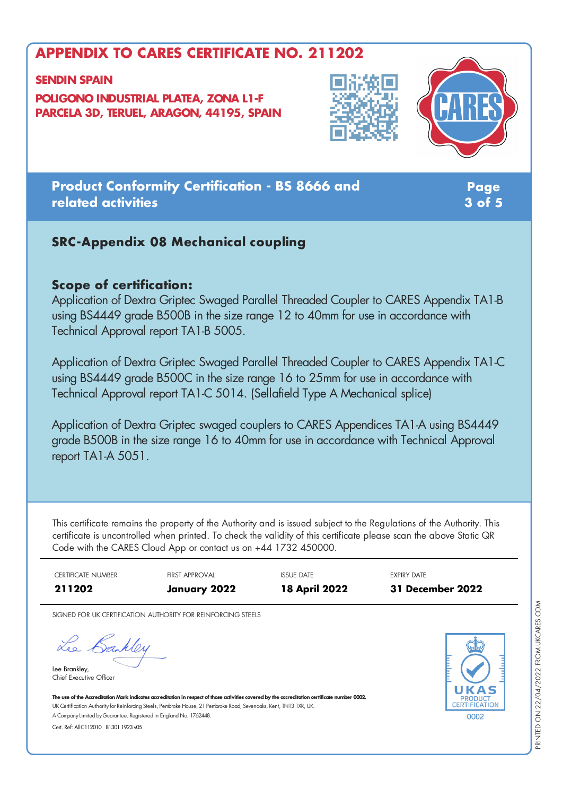#### **SENDIN SPAIN**

**POLIGONO INDUSTRIAL PLATEA, ZONA L1-F PARCELA 3D, TERUEL, ARAGON, 44195, SPAIN**





## **Product Conformity Certification - BS 8666 and related activities**

**Page 3 of 5**

## **SRC-Appendix 08 Mechanical coupling**

## **Scope of certification:**

Application of Dextra Griptec Swaged Parallel Threaded Coupler to CARES Appendix TA1-B using BS4449 grade B500B in the size range 12 to 40mm for use in accordance with Technical Approval report TA1-B 5005.

Application of Dextra Griptec Swaged Parallel Threaded Coupler to CARES Appendix TA1-C using BS4449 grade B500C in the size range 16 to 25mm for use in accordance with Technical Approval report TA1-C 5014. (Sellafield Type A Mechanical splice)

Application of Dextra Griptec swaged couplers to CARES Appendices TA1-A using BS4449 grade B500B in the size range 16 to 40mm for use in accordance with Technical Approval report TA1-A 5051.

This certificate remains the property of the Authority and is issued subject to the Regulations of the Authority. This certificate is uncontrolled when printed. To check the validity of this certificate please scan the above Static QR Code with the CARES Cloud App or contact us on +44 1732 450000.

| CERTIFICATE NUMBER | <b>FIRST APPROVAL</b> | <b>ISSUE DATE</b>    | <b>EXPIRY DATE</b> |
|--------------------|-----------------------|----------------------|--------------------|
| 211202             | January 2022          | <b>18 April 2022</b> | 31 December 2022   |

SIGNED FOR UK CERTIFICATION AUTHORITY FOR REINFORCING STEELS

Lee Bankley

Lee Brankley, Chief Executive Officer



The use of the Accreditation Mark indicates accreditation in respect of those activities covered by the accreditation certificate number 0002. UK Certification Authority for Reinforcing Steels, Pembroke House, 21 Pembroke Road, Sevenoaks, Kent, TN13 1XR, UK. A CompanyLimited byGuarantee. Registered in England No. 1762448.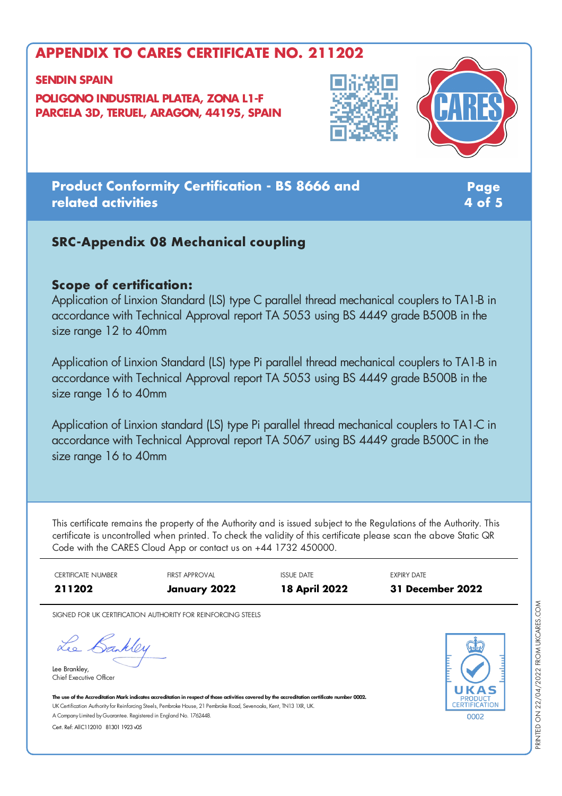#### **SENDIN SPAIN**

**POLIGONO INDUSTRIAL PLATEA, ZONA L1-F PARCELA 3D, TERUEL, ARAGON, 44195, SPAIN**





# **Product Conformity Certification - BS 8666 and related activities**

**Page 4 of 5**

## **SRC-Appendix 08 Mechanical coupling**

## **Scope of certification:**

Application of Linxion Standard (LS) type C parallel thread mechanical couplers to TA1-B in accordance with Technical Approval report TA 5053 using BS 4449 grade B500B in the size range 12 to 40mm

Application of Linxion Standard (LS) type Pi parallel thread mechanical couplers to TA1-B in accordance with Technical Approval report TA 5053 using BS 4449 grade B500B in the size range 16 to 40mm

Application of Linxion standard (LS) type Pi parallel thread mechanical couplers to TA1-C in accordance with Technical Approval report TA 5067 using BS 4449 grade B500C in the size range 16 to 40mm

This certificate remains the property of the Authority and is issued subject to the Regulations of the Authority. This certificate is uncontrolled when printed. To check the validity of this certificate please scan the above Static QR Code with the CARES Cloud App or contact us on +44 1732 450000.

| CERTIFICATE NUMBER | <b>FIRST APPROVAL</b> | <b>ISSUE DATE</b>    | <b>EXPIRY DATE</b> |
|--------------------|-----------------------|----------------------|--------------------|
| 211202             | January 2022          | <b>18 April 2022</b> | 31 December 2022   |

SIGNED FOR UK CERTIFICATION AUTHORITY FOR REINFORCING STEELS

Lee Bankley

Lee Brankley, Chief Executive Officer 0002

The use of the Accreditation Mark indicates accreditation in respect of those activities covered by the accreditation certificate number 0002. UK Certification Authority for Reinforcing Steels, Pembroke House, 21 Pembroke Road, Sevenoaks, Kent, TN13 1XR, UK. A CompanyLimited byGuarantee. Registered in England No. 1762448.